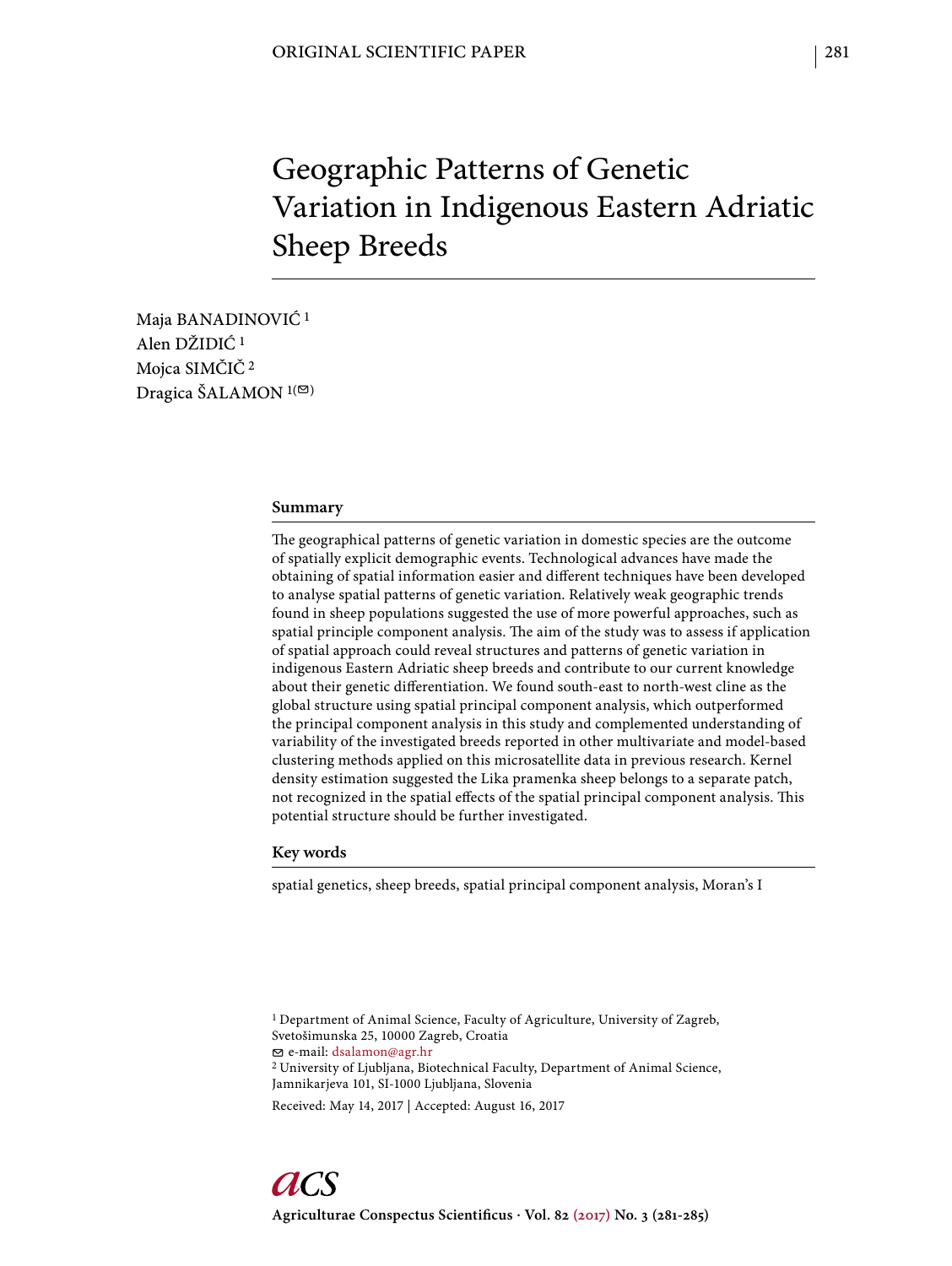# Geographic Patterns of Genetic Variation in Indigenous Eastern Adriatic Sheep Breeds

Maja BANADINOVIĆ 1 Alen DŽIDIĆ 1 Mojca SIMČIČ 2 Dragica ŠALAMON  $1(\infty)$ 

#### **Summary**

The geographical patterns of genetic variation in domestic species are the outcome of spatially explicit demographic events. Technological advances have made the obtaining of spatial information easier and different techniques have been developed to analyse spatial patterns of genetic variation. Relatively weak geographic trends found in sheep populations suggested the use of more powerful approaches, such as spatial principle component analysis. The aim of the study was to assess if application of spatial approach could reveal structures and patterns of genetic variation in indigenous Eastern Adriatic sheep breeds and contribute to our current knowledge about their genetic differentiation. We found south-east to north-west cline as the global structure using spatial principal component analysis, which outperformed the principal component analysis in this study and complemented understanding of variability of the investigated breeds reported in other multivariate and model-based clustering methods applied on this microsatellite data in previous research. Kernel density estimation suggested the Lika pramenka sheep belongs to a separate patch, not recognized in the spatial effects of the spatial principal component analysis. This potential structure should be further investigated.

## **Key words**

spatial genetics, sheep breeds, spatial principal component analysis, Moran's I

<sup>1</sup> Department of Animal Science, Faculty of Agriculture, University of Zagreb, Svetošimunska 25, 10000 Zagreb, Croatia e-mail: dsalamon@agr.hr 2 University of Ljubljana, Biotechnical Faculty, Department of Animal Science, Jamnikarjeva 101, SI-1000 Ljubljana, Slovenia

Received: May 14, 2017 | Accepted: August 16, 2017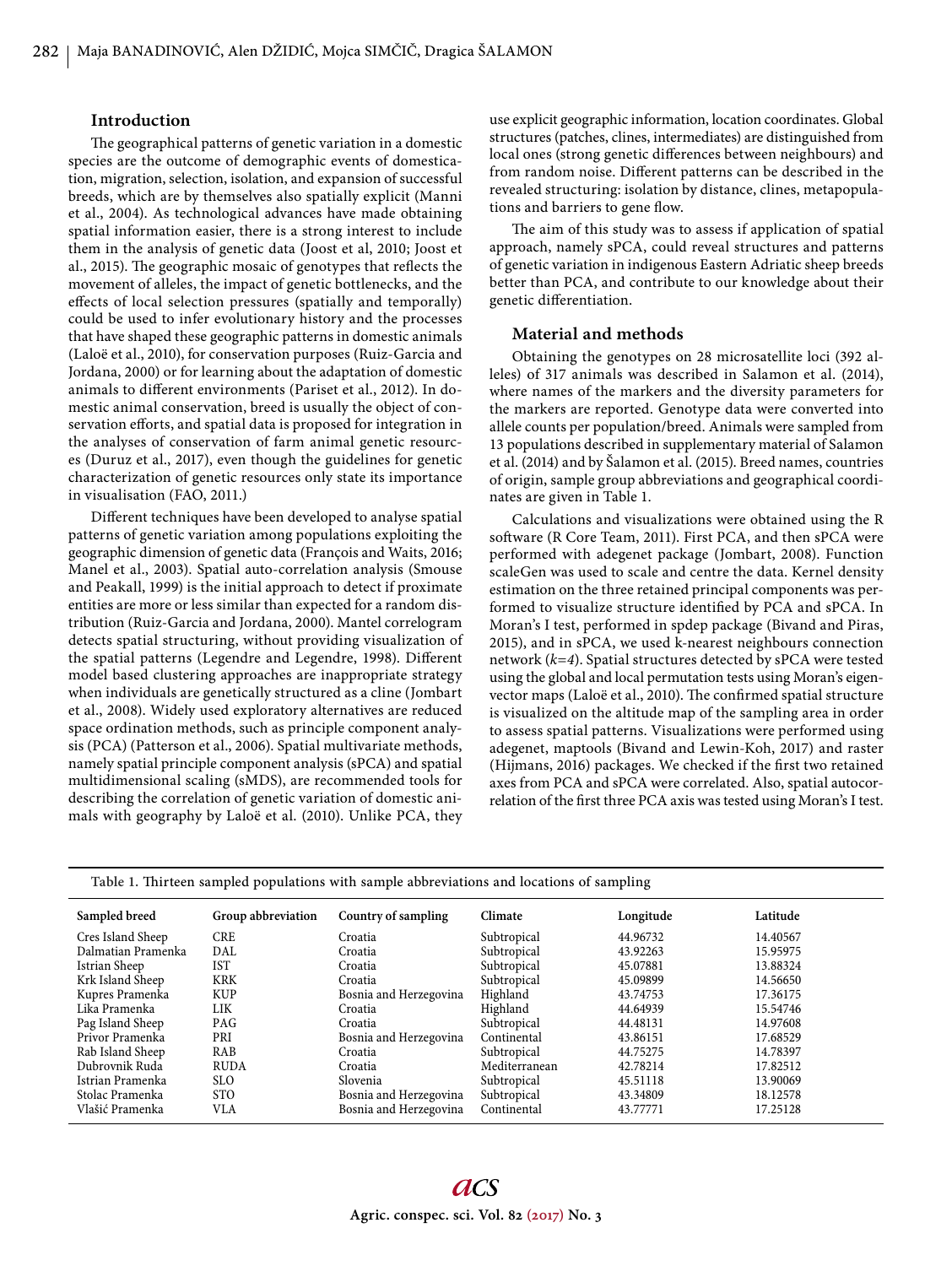#### **Introduction**

The geographical patterns of genetic variation in a domestic species are the outcome of demographic events of domestication, migration, selection, isolation, and expansion of successful breeds, which are by themselves also spatially explicit (Manni et al., 2004). As technological advances have made obtaining spatial information easier, there is a strong interest to include them in the analysis of genetic data (Joost et al, 2010; Joost et al., 2015). The geographic mosaic of genotypes that reflects the movement of alleles, the impact of genetic bottlenecks, and the effects of local selection pressures (spatially and temporally) could be used to infer evolutionary history and the processes that have shaped these geographic patterns in domestic animals (Laloë et al., 2010), for conservation purposes (Ruiz-Garcia and Jordana, 2000) or for learning about the adaptation of domestic animals to different environments (Pariset et al., 2012). In domestic animal conservation, breed is usually the object of conservation efforts, and spatial data is proposed for integration in the analyses of conservation of farm animal genetic resources (Duruz et al., 2017), even though the guidelines for genetic characterization of genetic resources only state its importance in visualisation (FAO, 2011.)

Different techniques have been developed to analyse spatial patterns of genetic variation among populations exploiting the geographic dimension of genetic data (François and Waits, 2016; Manel et al., 2003). Spatial auto-correlation analysis (Smouse and Peakall, 1999) is the initial approach to detect if proximate entities are more or less similar than expected for a random distribution (Ruiz-Garcia and Jordana, 2000). Mantel correlogram detects spatial structuring, without providing visualization of the spatial patterns (Legendre and Legendre, 1998). Different model based clustering approaches are inappropriate strategy when individuals are genetically structured as a cline (Jombart et al., 2008). Widely used exploratory alternatives are reduced space ordination methods, such as principle component analysis (PCA) (Patterson et al., 2006). Spatial multivariate methods, namely spatial principle component analysis (sPCA) and spatial multidimensional scaling (sMDS), are recommended tools for describing the correlation of genetic variation of domestic animals with geography by Laloë et al. (2010). Unlike PCA, they

use explicit geographic information, location coordinates. Global structures (patches, clines, intermediates) are distinguished from local ones (strong genetic differences between neighbours) and from random noise. Different patterns can be described in the revealed structuring: isolation by distance, clines, metapopulations and barriers to gene flow.

The aim of this study was to assess if application of spatial approach, namely sPCA, could reveal structures and patterns of genetic variation in indigenous Eastern Adriatic sheep breeds better than PCA, and contribute to our knowledge about their genetic differentiation.

#### **Material and methods**

Obtaining the genotypes on 28 microsatellite loci (392 alleles) of 317 animals was described in Salamon et al. (2014), where names of the markers and the diversity parameters for the markers are reported. Genotype data were converted into allele counts per population/breed. Animals were sampled from 13 populations described in supplementary material of Salamon et al. (2014) and by Šalamon et al. (2015). Breed names, countries of origin, sample group abbreviations and geographical coordinates are given in Table 1.

Calculations and visualizations were obtained using the R software (R Core Team, 2011). First PCA, and then sPCA were performed with adegenet package (Jombart, 2008). Function scaleGen was used to scale and centre the data. Kernel density estimation on the three retained principal components was performed to visualize structure identified by PCA and sPCA. In Moran's I test, performed in spdep package (Bivand and Piras, 2015), and in sPCA, we used k-nearest neighbours connection network (*k=4*). Spatial structures detected by sPCA were tested using the global and local permutation tests using Moran's eigenvector maps (Laloë et al., 2010). The confirmed spatial structure is visualized on the altitude map of the sampling area in order to assess spatial patterns. Visualizations were performed using adegenet, maptools (Bivand and Lewin-Koh, 2017) and raster (Hijmans, 2016) packages. We checked if the first two retained axes from PCA and sPCA were correlated. Also, spatial autocorrelation of the first three PCA axis was tested using Moran's I test.

| Sampled breed      | Group abbreviation | Country of sampling    | Climate       | Longitude | Latitude |
|--------------------|--------------------|------------------------|---------------|-----------|----------|
| Cres Island Sheep  | CRE                | Croatia                | Subtropical   | 44.96732  | 14.40567 |
| Dalmatian Pramenka | DAL                | Croatia                | Subtropical   | 43.92263  | 15.95975 |
| Istrian Sheep      | <b>IST</b>         | Croatia                | Subtropical   | 45.07881  | 13.88324 |
| Krk Island Sheep   | <b>KRK</b>         | Croatia                | Subtropical   | 45.09899  | 14.56650 |
| Kupres Pramenka    | <b>KUP</b>         | Bosnia and Herzegovina | Highland      | 43.74753  | 17.36175 |
| Lika Pramenka      | LIK                | Croatia                | Highland      | 44.64939  | 15.54746 |
| Pag Island Sheep   | PAG                | Croatia                | Subtropical   | 44.48131  | 14.97608 |
| Privor Pramenka    | PRI                | Bosnia and Herzegovina | Continental   | 43.86151  | 17.68529 |
| Rab Island Sheep   | RAB                | Croatia                | Subtropical   | 44.75275  | 14.78397 |
| Dubrovnik Ruda     | <b>RUDA</b>        | Croatia                | Mediterranean | 42.78214  | 17.82512 |
| Istrian Pramenka   | <b>SLO</b>         | Slovenia               | Subtropical   | 45.51118  | 13.90069 |
| Stolac Pramenka    | <b>STO</b>         | Bosnia and Herzegovina | Subtropical   | 43.34809  | 18.12578 |
| Vlašić Pramenka    | VLA                | Bosnia and Herzegovina | Continental   | 43.77771  | 17.25128 |

Table 1. Thirteen sampled populations with sample abbreviations and locations of sampling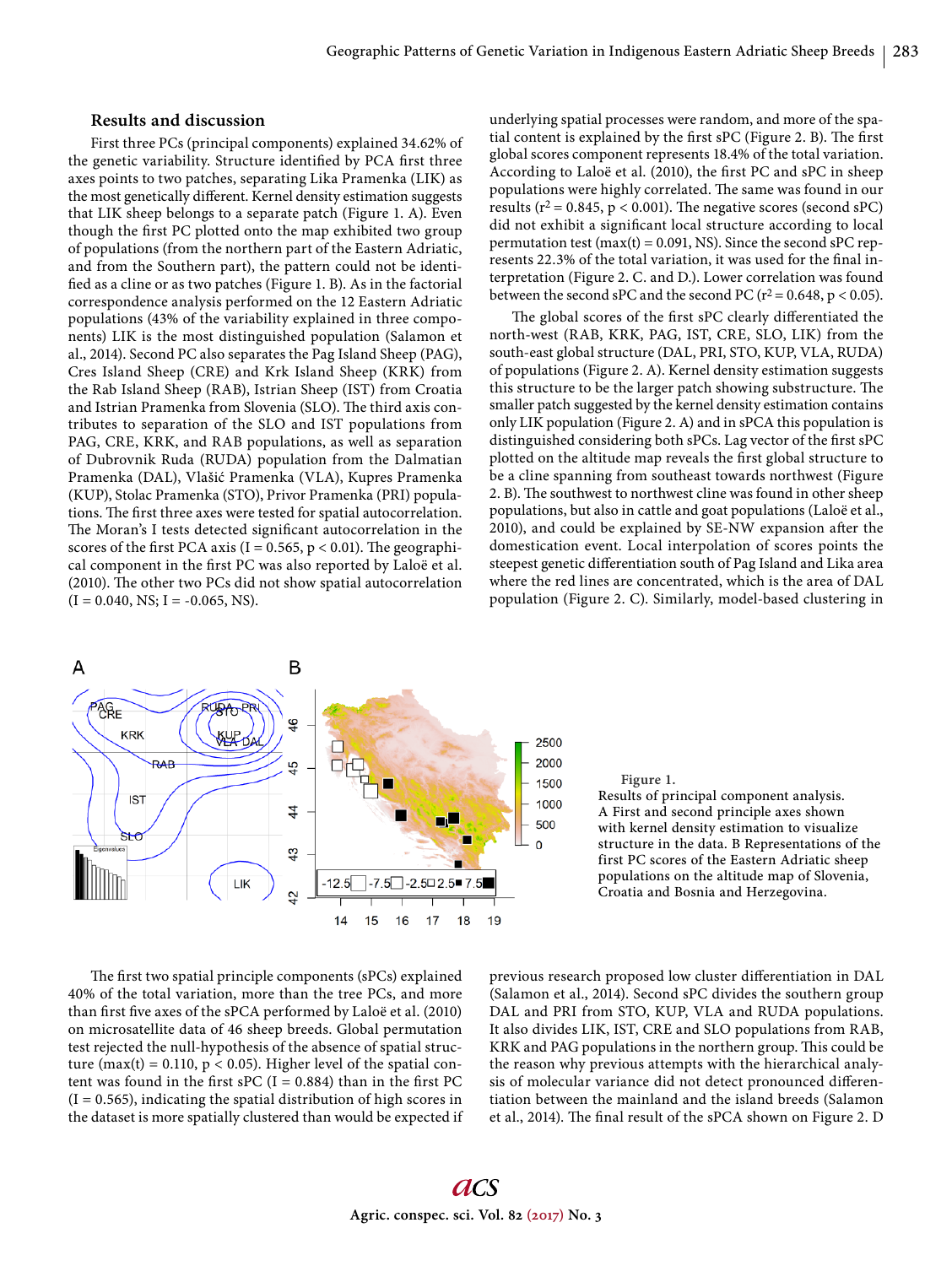# **Results and discussion**

First three PCs (principal components) explained 34.62% of the genetic variability. Structure identified by PCA first three axes points to two patches, separating Lika Pramenka (LIK) as the most genetically different. Kernel density estimation suggests that LIK sheep belongs to a separate patch (Figure 1. A). Even though the first PC plotted onto the map exhibited two group of populations (from the northern part of the Eastern Adriatic, and from the Southern part), the pattern could not be identified as a cline or as two patches (Figure 1. B). As in the factorial correspondence analysis performed on the 12 Eastern Adriatic populations (43% of the variability explained in three components) LIK is the most distinguished population (Salamon et al., 2014). Second PC also separates the Pag Island Sheep (PAG), Cres Island Sheep (CRE) and Krk Island Sheep (KRK) from the Rab Island Sheep (RAB), Istrian Sheep (IST) from Croatia and Istrian Pramenka from Slovenia (SLO). The third axis contributes to separation of the SLO and IST populations from PAG, CRE, KRK, and RAB populations, as well as separation of Dubrovnik Ruda (RUDA) population from the Dalmatian Pramenka (DAL), Vlašić Pramenka (VLA), Kupres Pramenka (KUP), Stolac Pramenka (STO), Privor Pramenka (PRI) populations. The first three axes were tested for spatial autocorrelation. The Moran's I tests detected significant autocorrelation in the scores of the first PCA axis (I =  $0.565$ , p < 0.01). The geographical component in the first PC was also reported by Laloë et al. (2010). The other two PCs did not show spatial autocorrelation  $(I = 0.040, NS; I = -0.065, NS).$ 

underlying spatial processes were random, and more of the spatial content is explained by the first sPC (Figure 2. B). The first global scores component represents 18.4% of the total variation. According to Laloë et al. (2010), the first PC and sPC in sheep populations were highly correlated. The same was found in our results ( $r^2$  = 0.845, p < 0.001). The negative scores (second sPC) did not exhibit a significant local structure according to local permutation test (max(t) =  $0.091$ , NS). Since the second sPC represents 22.3% of the total variation, it was used for the final interpretation (Figure 2. C. and D.). Lower correlation was found between the second sPC and the second PC ( $r^2$  = 0.648,  $p$  < 0.05).

The global scores of the first sPC clearly differentiated the north-west (RAB, KRK, PAG, IST, CRE, SLO, LIK) from the south-east global structure (DAL, PRI, STO, KUP, VLA, RUDA) of populations (Figure 2. A). Kernel density estimation suggests this structure to be the larger patch showing substructure. The smaller patch suggested by the kernel density estimation contains only LIK population (Figure 2. A) and in sPCA this population is distinguished considering both sPCs. Lag vector of the first sPC plotted on the altitude map reveals the first global structure to be a cline spanning from southeast towards northwest (Figure 2. B). The southwest to northwest cline was found in other sheep populations, but also in cattle and goat populations (Laloë et al., 2010), and could be explained by SE-NW expansion after the domestication event. Local interpolation of scores points the steepest genetic differentiation south of Pag Island and Lika area where the red lines are concentrated, which is the area of DAL population (Figure 2. C). Similarly, model-based clustering in



**Figure 1.**

Results of principal component analysis. A First and second principle axes shown with kernel density estimation to visualize structure in the data. B Representations of the first PC scores of the Eastern Adriatic sheep populations on the altitude map of Slovenia, Croatia and Bosnia and Herzegovina.

The first two spatial principle components (sPCs) explained 40% of the total variation, more than the tree PCs, and more than first five axes of the sPCA performed by Laloë et al. (2010) on microsatellite data of 46 sheep breeds. Global permutation test rejected the null-hypothesis of the absence of spatial structure (max(t) = 0.110,  $p < 0.05$ ). Higher level of the spatial content was found in the first sPC (I = 0.884) than in the first PC  $(I = 0.565)$ , indicating the spatial distribution of high scores in the dataset is more spatially clustered than would be expected if

previous research proposed low cluster differentiation in DAL (Salamon et al., 2014). Second sPC divides the southern group DAL and PRI from STO, KUP, VLA and RUDA populations. It also divides LIK, IST, CRE and SLO populations from RAB, KRK and PAG populations in the northern group. This could be the reason why previous attempts with the hierarchical analysis of molecular variance did not detect pronounced differentiation between the mainland and the island breeds (Salamon et al., 2014). The final result of the sPCA shown on Figure 2. D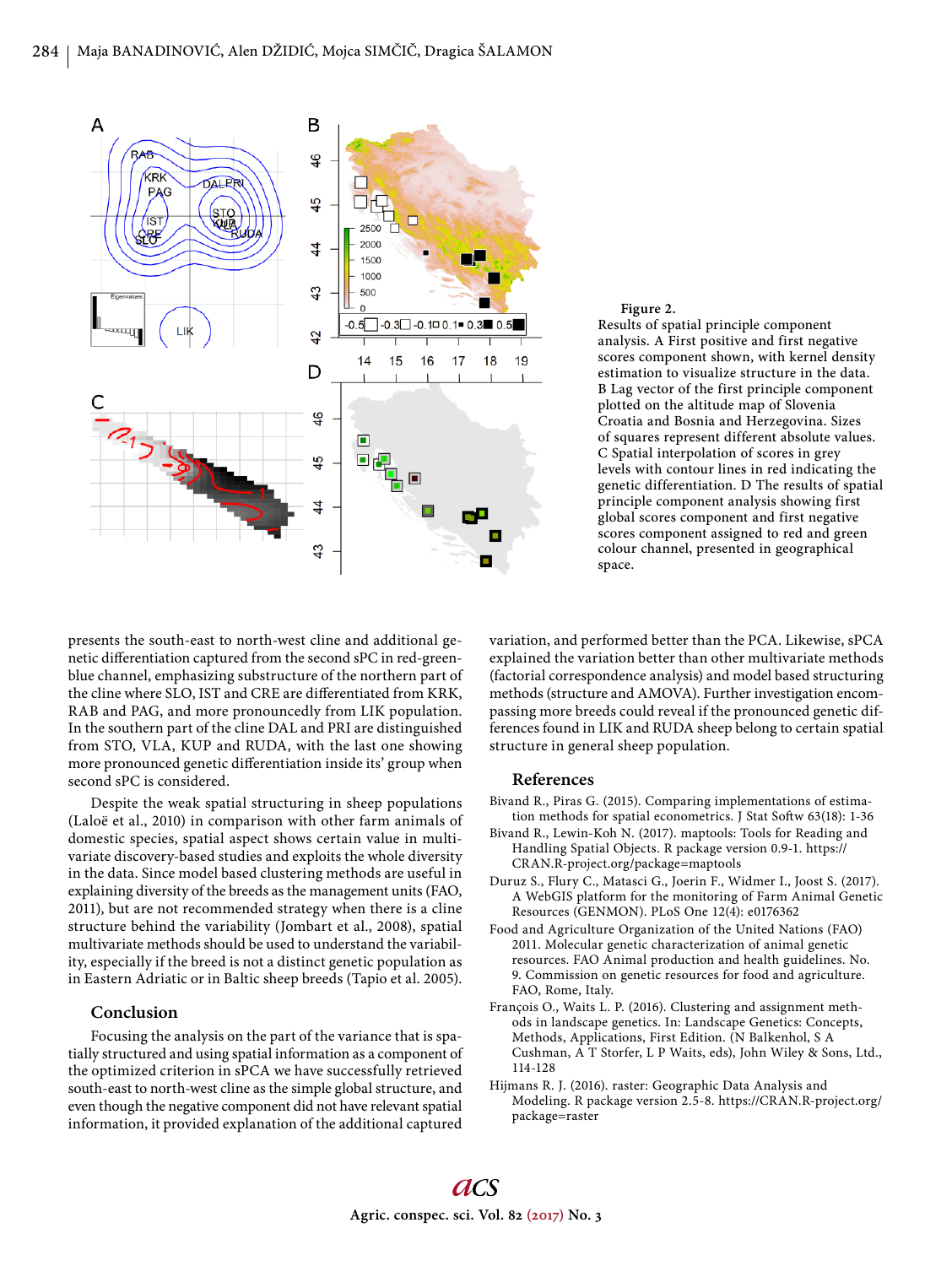

**Figure 2.** Results of spatial principle component analysis. A First positive and first negative scores component shown, with kernel density estimation to visualize structure in the data. B Lag vector of the first principle component plotted on the altitude map of Slovenia Croatia and Bosnia and Herzegovina. Sizes of squares represent different absolute values. C Spatial interpolation of scores in grey levels with contour lines in red indicating the genetic differentiation. D The results of spatial principle component analysis showing first global scores component and first negative scores component assigned to red and green colour channel, presented in geographical space.

presents the south-east to north-west cline and additional genetic differentiation captured from the second sPC in red-greenblue channel, emphasizing substructure of the northern part of the cline where SLO, IST and CRE are differentiated from KRK, RAB and PAG, and more pronouncedly from LIK population. In the southern part of the cline DAL and PRI are distinguished from STO, VLA, KUP and RUDA, with the last one showing more pronounced genetic differentiation inside its' group when second sPC is considered.

Despite the weak spatial structuring in sheep populations (Laloë et al., 2010) in comparison with other farm animals of domestic species, spatial aspect shows certain value in multivariate discovery-based studies and exploits the whole diversity in the data. Since model based clustering methods are useful in explaining diversity of the breeds as the management units (FAO, 2011), but are not recommended strategy when there is a cline structure behind the variability (Jombart et al., 2008), spatial multivariate methods should be used to understand the variability, especially if the breed is not a distinct genetic population as in Eastern Adriatic or in Baltic sheep breeds (Tapio et al. 2005).

## **Conclusion**

Focusing the analysis on the part of the variance that is spatially structured and using spatial information as a component of the optimized criterion in sPCA we have successfully retrieved south-east to north-west cline as the simple global structure, and even though the negative component did not have relevant spatial information, it provided explanation of the additional captured

variation, and performed better than the PCA. Likewise, sPCA explained the variation better than other multivariate methods (factorial correspondence analysis) and model based structuring methods (structure and AMOVA). Further investigation encompassing more breeds could reveal if the pronounced genetic differences found in LIK and RUDA sheep belong to certain spatial structure in general sheep population.

#### **References**

- Bivand R., Piras G. (2015). Comparing implementations of estimation methods for spatial econometrics. J Stat Softw 63(18): 1-36
- Bivand R., Lewin-Koh N. (2017). maptools: Tools for Reading and Handling Spatial Objects. R package version 0.9-1. https:// CRAN.R-project.org/package=maptools
- Duruz S., Flury C., Matasci G., Joerin F., Widmer I., Joost S. (2017). A WebGIS platform for the monitoring of Farm Animal Genetic Resources (GENMON). PLoS One 12(4): e0176362
- Food and Agriculture Organization of the United Nations (FAO) 2011. Molecular genetic characterization of animal genetic resources. FAO Animal production and health guidelines. No. 9. Commission on genetic resources for food and agriculture. FAO, Rome, Italy.
- François O., Waits L. P. (2016). Clustering and assignment methods in landscape genetics. In: Landscape Genetics: Concepts, Methods, Applications, First Edition. (N Balkenhol, S A Cushman, A T Storfer, L P Waits, eds), John Wiley & Sons, Ltd., 114-128
- Hijmans R. J. (2016). raster: Geographic Data Analysis and Modeling. R package version 2.5-8. https://CRAN.R-project.org/ package=raster